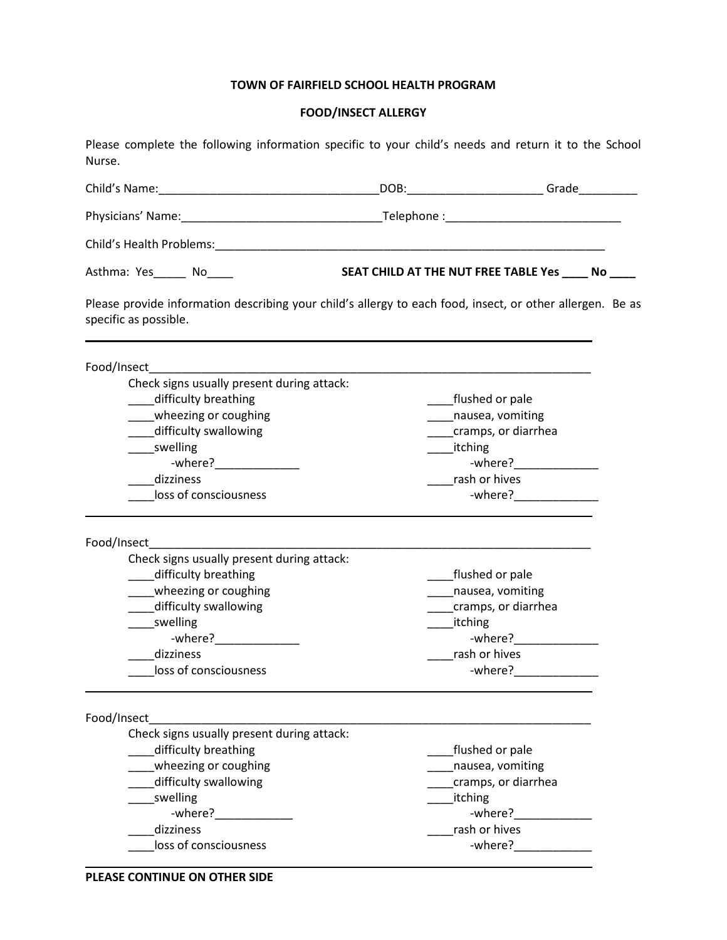## **TOWN OF FAIRFIELD SCHOOL HEALTH PROGRAM**

## **FOOD/INSECT ALLERGY**

Please complete the following information specific to your child's needs and return it to the School Nurse.

| Child's Health Problems: North and Second Child's Health Problems:                                                                                                                              |                                                                                               |                                                                                                               |
|-------------------------------------------------------------------------------------------------------------------------------------------------------------------------------------------------|-----------------------------------------------------------------------------------------------|---------------------------------------------------------------------------------------------------------------|
| Asthma: Yes______ No_____                                                                                                                                                                       | SEAT CHILD AT THE NUT FREE TABLE Yes _____ No ____                                            |                                                                                                               |
| Please provide information describing your child's allergy to each food, insect, or other allergen. Be as<br>specific as possible.                                                              |                                                                                               |                                                                                                               |
| Food/Insect                                                                                                                                                                                     |                                                                                               |                                                                                                               |
| Check signs usually present during attack:<br>difficulty breathing<br>wheezing or coughing<br>difficulty swallowing<br>swelling<br>-where?_______________<br>dizziness<br>loss of consciousness | flushed or pale<br>nausea, vomiting<br>cramps, or diarrhea<br>_____itching<br>rash or hives   | -where?________________                                                                                       |
| Food/Insect<br>Check signs usually present during attack:                                                                                                                                       |                                                                                               |                                                                                                               |
| difficulty breathing<br>wheezing or coughing<br>difficulty swallowing<br>swelling<br>$-where?$<br>dizziness<br>loss of consciousness                                                            | flushed or pale<br>nausea, vomiting<br>cramps, or diarrhea<br>______ itching<br>rash or hives | -where? Note that the set of the set of the set of the set of the set of the set of the set of the set of the |
| Food/Insect                                                                                                                                                                                     |                                                                                               |                                                                                                               |
| Check signs usually present during attack:<br>difficulty breathing<br>wheezing or coughing<br>difficulty swallowing<br>swelling<br>dizziness<br>loss of consciousness                           | _flushed or pale<br>nausea, vomiting<br>itching<br>rash or hives                              | cramps, or diarrhea<br>-where?                                                                                |